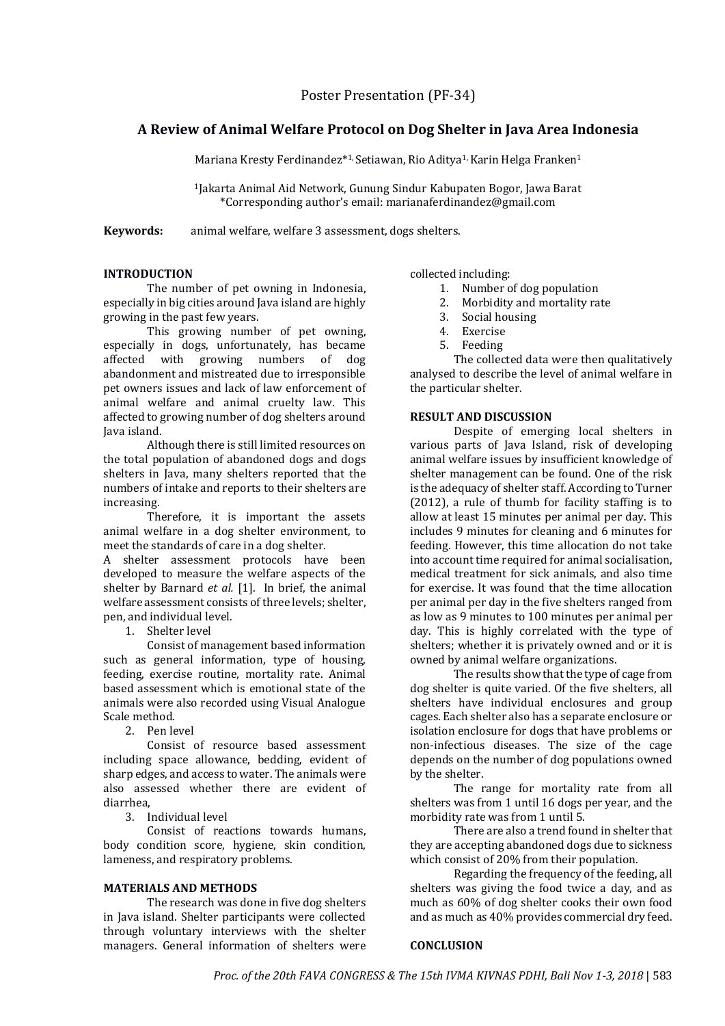Poster Presentation (PF-34)

# **A Review of Animal Welfare Protocol on Dog Shelter in Java Area Indonesia**

Mariana Kresty Ferdinandez\*<sup>1,</sup> Setiawan, Rio Aditya<sup>1,</sup> Karin Helga Franken<sup>1</sup>

<sup>1</sup>Jakarta Animal Aid Network, Gunung Sindur Kabupaten Bogor, Jawa Barat \*Corresponding author's email: marianaferdinandez@gmail.com

**Keywords:** animal welfare, welfare 3 assessment, dogs shelters.

#### **INTRODUCTION**

The number of pet owning in Indonesia, especially in big cities around Java island are highly growing in the past few years.

This growing number of pet owning, especially in dogs, unfortunately, has became affected with growing numbers of dog abandonment and mistreated due to irresponsible pet owners issues and lack of law enforcement of animal welfare and animal cruelty law. This affected to growing number of dog shelters around Java island.

Although there is still limited resources on the total population of abandoned dogs and dogs shelters in Java, many shelters reported that the numbers of intake and reports to their shelters are increasing.

Therefore, it is important the assets animal welfare in a dog shelter environment, to meet the standards of care in a dog shelter.

A shelter assessment protocols have been developed to measure the welfare aspects of the shelter by Barnard *et al.* [1]. In brief, the animal welfare assessment consists of three levels; shelter, pen, and individual level.

1. Shelter level

Consist of management based information such as general information, type of housing, feeding, exercise routine, mortality rate. Animal based assessment which is emotional state of the animals were also recorded using Visual Analogue Scale method.

2. Pen level

Consist of resource based assessment including space allowance, bedding, evident of sharp edges, and access to water. The animals were also assessed whether there are evident of diarrhea,

3. Individual level

Consist of reactions towards humans, body condition score, hygiene, skin condition, lameness, and respiratory problems.

### **MATERIALS AND METHODS**

The research was done in five dog shelters in Java island. Shelter participants were collected through voluntary interviews with the shelter managers. General information of shelters were collected including:

- 1. Number of dog population
- 2. Morbidity and mortality rate
- 3. Social housing
- 4. Exercise
- 5. Feeding

The collected data were then qualitatively analysed to describe the level of animal welfare in the particular shelter.

#### **RESULT AND DISCUSSION**

Despite of emerging local shelters in various parts of Java Island, risk of developing animal welfare issues by insufficient knowledge of shelter management can be found. One of the risk is the adequacy of shelter staff. According to Turner (2012), a rule of thumb for facility staffing is to allow at least 15 minutes per animal per day. This includes 9 minutes for cleaning and 6 minutes for feeding. However, this time allocation do not take into account time required for animal socialisation, medical treatment for sick animals, and also time for exercise. It was found that the time allocation per animal per day in the five shelters ranged from as low as 9 minutes to 100 minutes per animal per day. This is highly correlated with the type of shelters; whether it is privately owned and or it is owned by animal welfare organizations.

The results show that the type of cage from dog shelter is quite varied. Of the five shelters, all shelters have individual enclosures and group cages. Each shelter also has a separate enclosure or isolation enclosure for dogs that have problems or non-infectious diseases. The size of the cage depends on the number of dog populations owned by the shelter.

The range for mortality rate from all shelters was from 1 until 16 dogs per year, and the morbidity rate was from 1 until 5.

There are also a trend found in shelter that they are accepting abandoned dogs due to sickness which consist of 20% from their population.

Regarding the frequency of the feeding, all shelters was giving the food twice a day, and as much as 60% of dog shelter cooks their own food and as much as 40% provides commercial dry feed.

### **CONCLUSION**